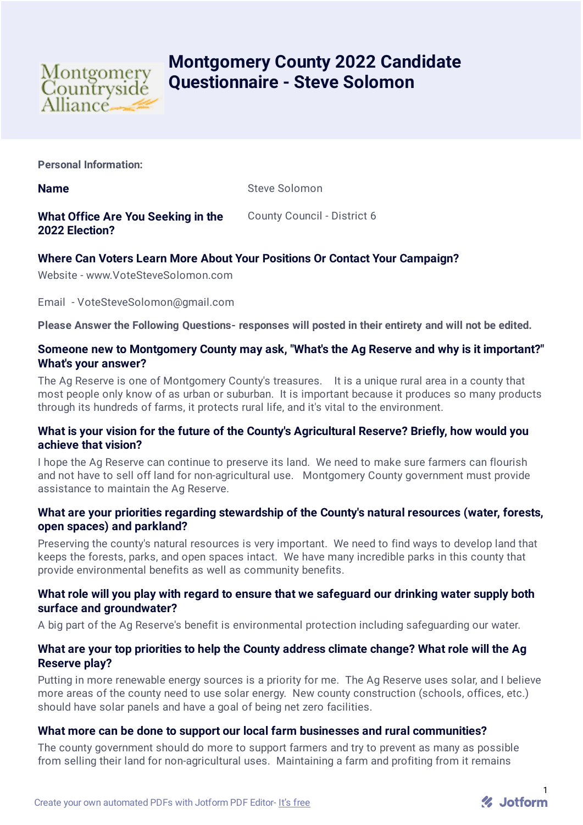

# **Montgomery County 2022 Candidate Questionnaire - Steve Solomon**

**Personal Information:**

**Name** Steve Solomon

**What Office Are You Seeking in the 2022 Election?** County Council - District 6

## **Where Can Voters Learn More About Your Positions Or Contact Your Campaign?**

Website - www.VoteSteveSolomon.com

Email - VoteSteveSolomon@gmail.com

**Please Answer the Following Questions- responses will posted in their entirety and will not be edited.**

## **Someone new to Montgomery County may ask, "What's the Ag Reserve and why is it important?" What's your answer?**

The Ag Reserve is one of Montgomery County's treasures. It is a unique rural area in a county that most people only know of as urban or suburban. It is important because it produces so many products through its hundreds of farms, it protects rural life, and it's vital to the environment.

## **What is your vision for the future of the County's Agricultural Reserve? Briefly, how would you achieve that vision?**

I hope the Ag Reserve can continue to preserve its land. We need to make sure farmers can flourish and not have to sell off land for non-agricultural use. Montgomery County government must provide assistance to maintain the Ag Reserve.

## **What are your priorities regarding stewardship of the County's natural resources (water, forests, open spaces) and parkland?**

Preserving the county's natural resources is very important. We need to find ways to develop land that keeps the forests, parks, and open spaces intact. We have many incredible parks in this county that provide environmental benefits as well as community benefits.

## **What role will you play with regard to ensure that we safeguard our drinking water supply both surface and groundwater?**

A big part of the Ag Reserve's benefit is environmental protection including safeguarding our water.

## **What are your top priorities to help the County address climate change? What role will the Ag Reserve play?**

Putting in more renewable energy sources is a priority for me. The Ag Reserve uses solar, and I believe more areas of the county need to use solar energy. New county construction (schools, offices, etc.) should have solar panels and have a goal of being net zero facilities.

## **What more can be done to support our local farm businesses and rural communities?**

The county government should do more to support farmers and try to prevent as many as possible from selling their land for non-agricultural uses. Maintaining a farm and profiting from it remains